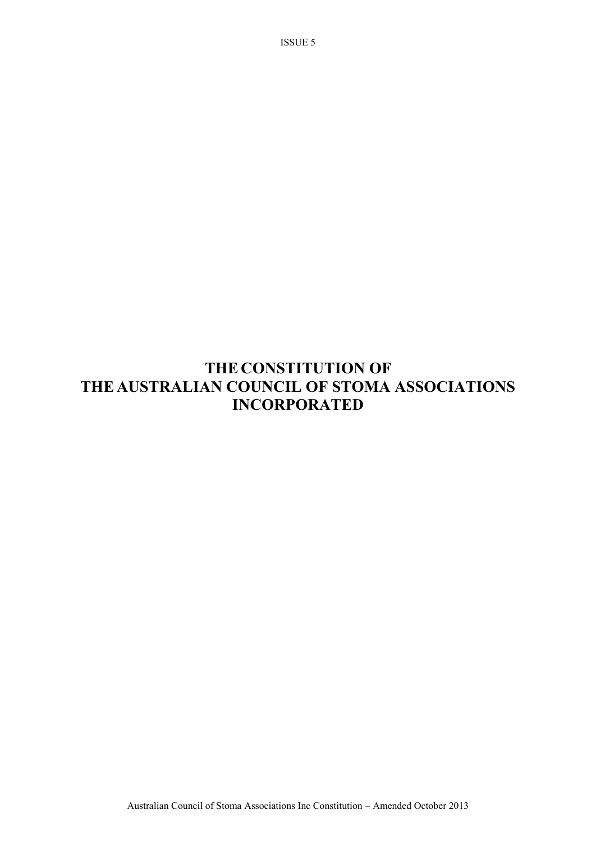# **THE CONSTITUTION OF THE AUSTRALIAN COUNCIL OF STOMA ASSOCIATIONS INCORPORATED**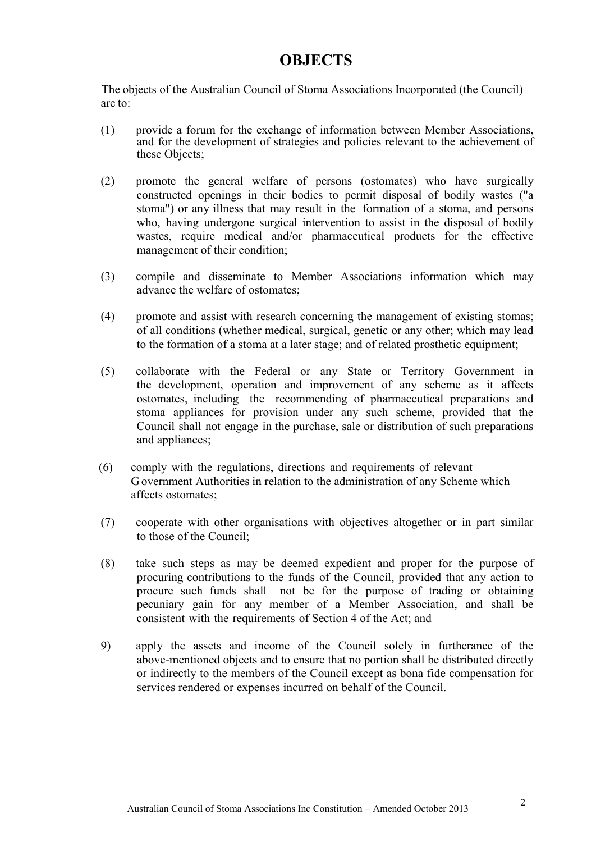# **OBJECTS**

The objects of the Australian Council of Stoma Associations Incorporated (the Council) are to:

- (1) provide a forum for the exchange of information between Member Associations, and for the development of strategies and policies relevant to the achievement of these Objects;
- (2) promote the general welfare of persons (ostomates) who have surgically constructed openings in their bodies to permit disposal of bodily wastes ("a stoma") or any illness that may result in the formation of a stoma, and persons who, having undergone surgical intervention to assist in the disposal of bodily wastes, require medical and/or pharmaceutical products for the effective management of their condition;
- (3) compile and disseminate to Member Associations information which may advance the welfare of ostomates;
- (4) promote and assist with research concerning the management of existing stomas; of all conditions (whether medical, surgical, genetic or any other; which may lead to the formation of a stoma at a later stage; and of related prosthetic equipment;
- (5) collaborate with the Federal or any State or Territory Government in the development, operation and improvement of any scheme as it affects ostomates, including the recommending of pharmaceutical preparations and stoma appliances for provision under any such scheme, provided that the Council shall not engage in the purchase, sale or distribution of such preparations and appliances;
- (6) comply with the regulations, directions and requirements of relevant Government Authorities in relation to the administration of any Scheme which affects ostomates;
- (7) cooperate with other organisations with objectives altogether or in part similar to those of the Council;
- (8) take such steps as may be deemed expedient and proper for the purpose of procuring contributions to the funds of the Council, provided that any action to procure such funds shall not be for the purpose of trading or obtaining pecuniary gain for any member of a Member Association, and shall be consistent with the requirements of Section 4 of the Act; and
- 9) apply the assets and income of the Council solely in furtherance of the above-mentioned objects and to ensure that no portion shall be distributed directly or indirectly to the members of the Council except as bona fide compensation for services rendered or expenses incurred on behalf of the Council.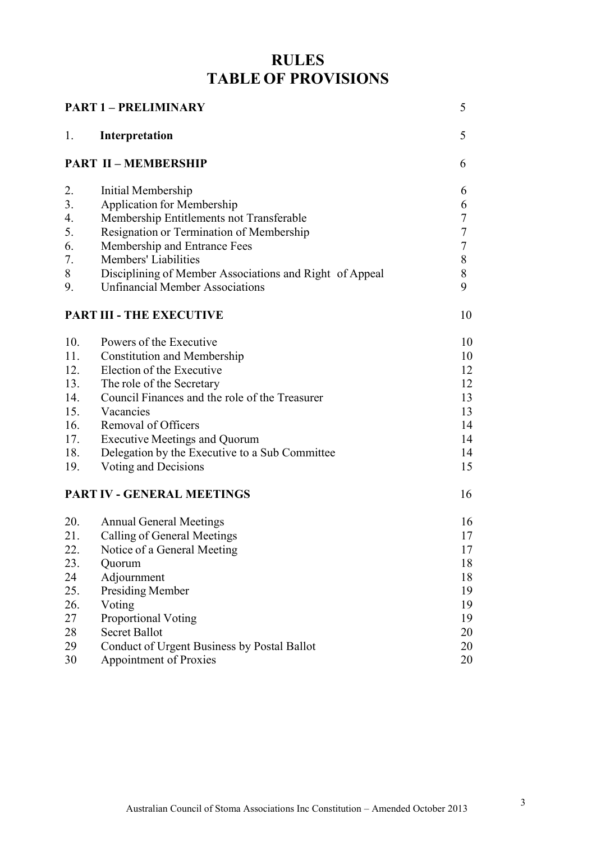# **RULES TABLE OF PROVISIONS**

| <b>PART 1 - PRELIMINARY</b><br>5 |                                                         |        |  |  |
|----------------------------------|---------------------------------------------------------|--------|--|--|
| 1.                               | Interpretation                                          | 5      |  |  |
|                                  | <b>PART II - MEMBERSHIP</b>                             | 6      |  |  |
| 2.                               | Initial Membership                                      | 6      |  |  |
| 3.                               | <b>Application for Membership</b>                       | 6      |  |  |
| 4.                               | Membership Entitlements not Transferable                | 7      |  |  |
| 5.                               | Resignation or Termination of Membership                | 7      |  |  |
| 6.                               | Membership and Entrance Fees                            | $\tau$ |  |  |
| 7.                               | Members' Liabilities                                    | 8      |  |  |
| 8                                | Disciplining of Member Associations and Right of Appeal | 8      |  |  |
| 9.                               | <b>Unfinancial Member Associations</b>                  | 9      |  |  |
|                                  | <b>PART III - THE EXECUTIVE</b>                         | 10     |  |  |
| 10.                              | Powers of the Executive                                 | 10     |  |  |
| 11.                              | <b>Constitution and Membership</b>                      | 10     |  |  |
| 12.                              | Election of the Executive                               | 12     |  |  |
| 13.                              | The role of the Secretary                               | 12     |  |  |
| 14.                              | Council Finances and the role of the Treasurer          | 13     |  |  |
| 15.                              | Vacancies                                               | 13     |  |  |
| 16.                              | Removal of Officers                                     | 14     |  |  |
| 17.                              | <b>Executive Meetings and Quorum</b>                    | 14     |  |  |
| 18.                              | Delegation by the Executive to a Sub Committee          | 14     |  |  |
| 19.                              | Voting and Decisions                                    | 15     |  |  |
|                                  | PART IV - GENERAL MEETINGS                              | 16     |  |  |
| 20.                              | <b>Annual General Meetings</b>                          | 16     |  |  |
| 21.                              | Calling of General Meetings                             | 17     |  |  |
| 22.                              | Notice of a General Meeting                             | 17     |  |  |
| 23.                              | Quorum                                                  | 18     |  |  |
| 24                               | Adjournment                                             | 18     |  |  |
| 25.                              | <b>Presiding Member</b>                                 | 19     |  |  |
| 26.                              | Voting                                                  | 19     |  |  |
| 27                               | <b>Proportional Voting</b>                              | 19     |  |  |
| 28                               | <b>Secret Ballot</b>                                    | 20     |  |  |
| 29                               | Conduct of Urgent Business by Postal Ballot             | 20     |  |  |
| 30                               | <b>Appointment of Proxies</b>                           | 20     |  |  |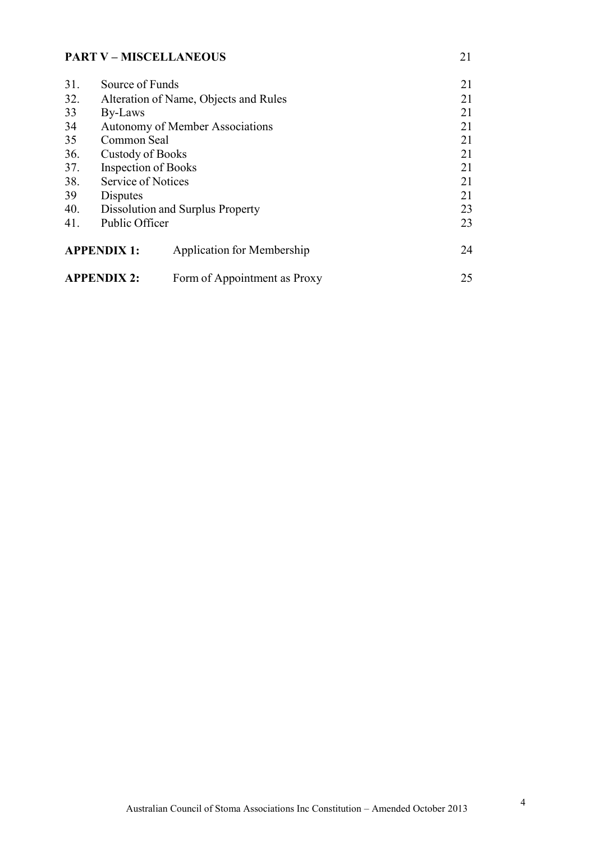## **PART V – MISCELLANEOUS** 21

| 31.                                          | Source of Funds                       | 21                                |    |
|----------------------------------------------|---------------------------------------|-----------------------------------|----|
| 32.                                          | Alteration of Name, Objects and Rules | 21                                |    |
| 33                                           | By-Laws                               | 21                                |    |
| 34<br><b>Autonomy of Member Associations</b> |                                       |                                   | 21 |
| 35                                           | Common Seal                           | 21                                |    |
| 36.                                          | Custody of Books                      | 21                                |    |
| 37.                                          | <b>Inspection of Books</b>            | 21                                |    |
| 38.                                          | Service of Notices                    |                                   | 21 |
| 39                                           | Disputes                              |                                   | 21 |
| 40.                                          |                                       | Dissolution and Surplus Property  | 23 |
| 41.                                          | Public Officer                        |                                   | 23 |
| <b>APPENDIX 1:</b>                           |                                       | <b>Application for Membership</b> | 24 |
| <b>APPENDIX 2:</b>                           |                                       | Form of Appointment as Proxy      | 25 |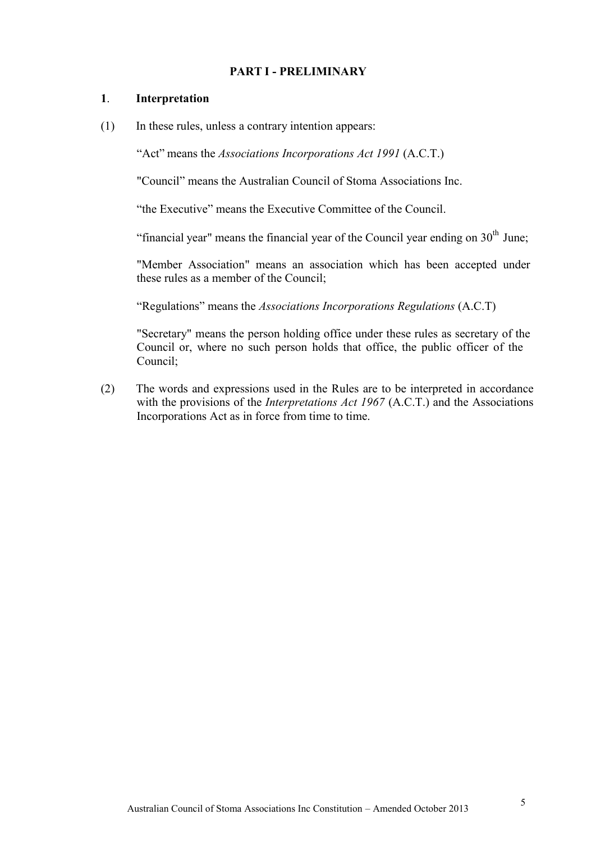#### **PART I - PRELIMINARY**

#### **1**. **Interpretation**

(1) In these rules, unless a contrary intention appears:

"Act" means the *Associations Incorporations Act 1991* (A.C.T.)

"Council" means the Australian Council of Stoma Associations Inc.

"the Executive" means the Executive Committee of the Council.

"financial year" means the financial year of the Council year ending on  $30<sup>th</sup>$  June;

"Member Association" means an association which has been accepted under these rules as a member of the Council;

"Regulations" means the *Associations Incorporations Regulations* (A.C.T)

"Secretary" means the person holding office under these rules as secretary of the Council or, where no such person holds that office, the public officer of the Council;

(2) The words and expressions used in the Rules are to be interpreted in accordance with the provisions of the *Interpretations Act 1967* (A.C.T.) and the Associations Incorporations Act as in force from time to time.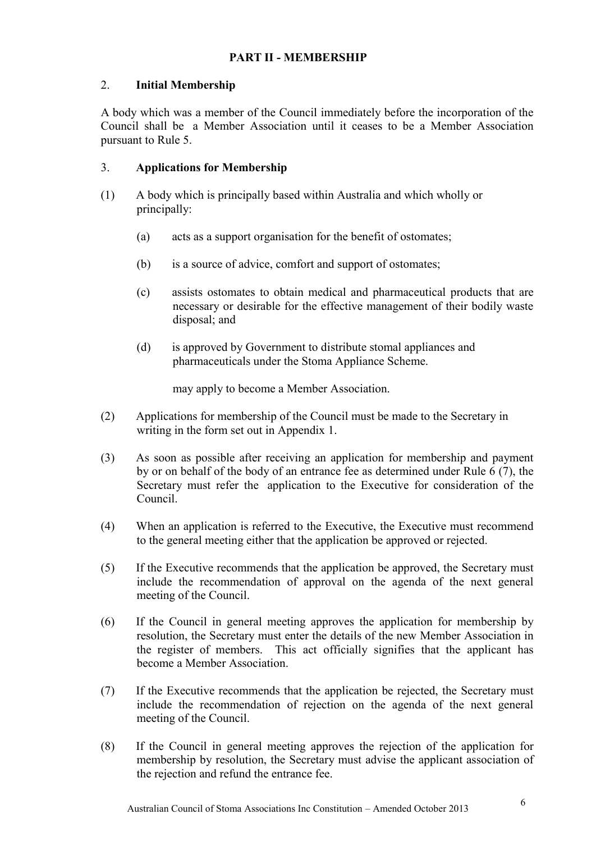## **PART II - MEMBERSHIP**

## 2. **Initial Membership**

A body which was a member of the Council immediately before the incorporation of the Council shall be a Member Association until it ceases to be a Member Association pursuant to Rule 5.

## 3. **Applications for Membership**

- (1) A body which is principally based within Australia and which wholly or principally:
	- (a) acts as a support organisation for the benefit of ostomates;
	- (b) is a source of advice, comfort and support of ostomates;
	- (c) assists ostomates to obtain medical and pharmaceutical products that are necessary or desirable for the effective management of their bodily waste disposal; and
	- (d) is approved by Government to distribute stomal appliances and pharmaceuticals under the Stoma Appliance Scheme.

may apply to become a Member Association.

- (2) Applications for membership of the Council must be made to the Secretary in writing in the form set out in Appendix 1.
- (3) As soon as possible after receiving an application for membership and payment by or on behalf of the body of an entrance fee as determined under Rule 6 (7), the Secretary must refer the application to the Executive for consideration of the Council.
- (4) When an application is referred to the Executive, the Executive must recommend to the general meeting either that the application be approved or rejected.
- (5) If the Executive recommends that the application be approved, the Secretary must include the recommendation of approval on the agenda of the next general meeting of the Council.
- (6) If the Council in general meeting approves the application for membership by resolution, the Secretary must enter the details of the new Member Association in the register of members. This act officially signifies that the applicant has become a Member Association.
- (7) If the Executive recommends that the application be rejected, the Secretary must include the recommendation of rejection on the agenda of the next general meeting of the Council.
- (8) If the Council in general meeting approves the rejection of the application for membership by resolution, the Secretary must advise the applicant association of the rejection and refund the entrance fee.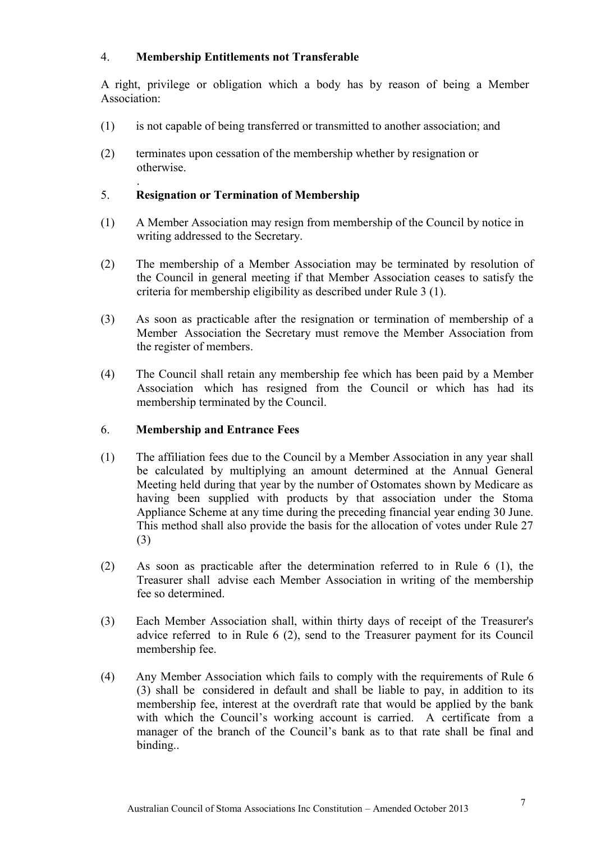## 4. **Membership Entitlements not Transferable**

A right, privilege or obligation which a body has by reason of being a Member Association:

- (1) is not capable of being transferred or transmitted to another association; and
- (2) terminates upon cessation of the membership whether by resignation or otherwise.

#### . 5. **Resignation or Termination of Membership**

- (1) A Member Association may resign from membership of the Council by notice in writing addressed to the Secretary.
- (2) The membership of a Member Association may be terminated by resolution of the Council in general meeting if that Member Association ceases to satisfy the criteria for membership eligibility as described under Rule 3 (1).
- (3) As soon as practicable after the resignation or termination of membership of a Member Association the Secretary must remove the Member Association from the register of members.
- (4) The Council shall retain any membership fee which has been paid by a Member Association which has resigned from the Council or which has had its membership terminated by the Council.

#### 6. **Membership and Entrance Fees**

- (1) The affiliation fees due to the Council by a Member Association in any year shall be calculated by multiplying an amount determined at the Annual General Meeting held during that year by the number of Ostomates shown by Medicare as having been supplied with products by that association under the Stoma Appliance Scheme at any time during the preceding financial year ending 30 June. This method shall also provide the basis for the allocation of votes under Rule 27 (3)
- (2) As soon as practicable after the determination referred to in Rule 6 (1), the Treasurer shall advise each Member Association in writing of the membership fee so determined.
- (3) Each Member Association shall, within thirty days of receipt of the Treasurer's advice referred to in Rule 6 (2), send to the Treasurer payment for its Council membership fee.
- (4) Any Member Association which fails to comply with the requirements of Rule 6 (3) shall be considered in default and shall be liable to pay, in addition to its membership fee, interest at the overdraft rate that would be applied by the bank with which the Council's working account is carried. A certificate from a manager of the branch of the Council's bank as to that rate shall be final and binding..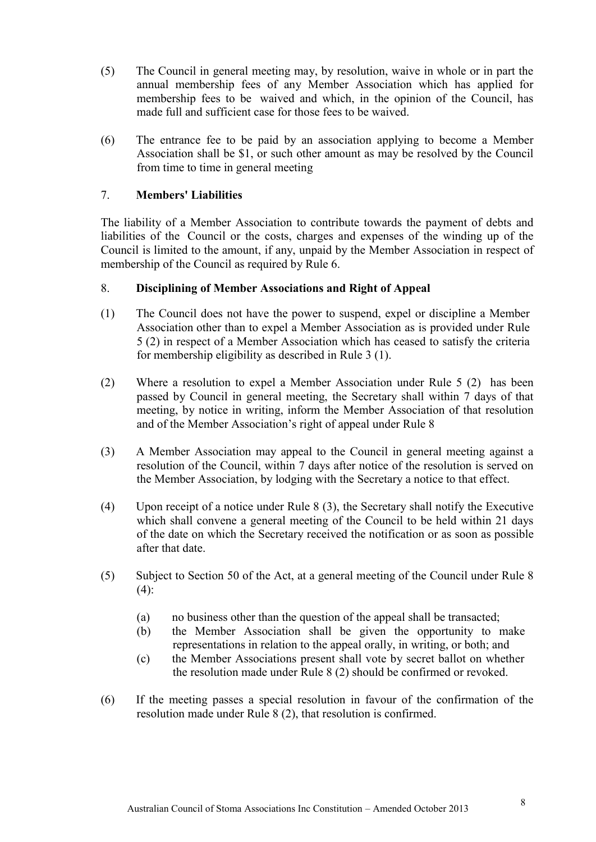- (5) The Council in general meeting may, by resolution, waive in whole or in part the annual membership fees of any Member Association which has applied for membership fees to be waived and which, in the opinion of the Council, has made full and sufficient case for those fees to be waived.
- (6) The entrance fee to be paid by an association applying to become a Member Association shall be \$1, or such other amount as may be resolved by the Council from time to time in general meeting

#### 7. **Members' Liabilities**

The liability of a Member Association to contribute towards the payment of debts and liabilities of the Council or the costs, charges and expenses of the winding up of the Council is limited to the amount, if any, unpaid by the Member Association in respect of membership of the Council as required by Rule 6.

#### 8. **Disciplining of Member Associations and Right of Appeal**

- (1) The Council does not have the power to suspend, expel or discipline a Member Association other than to expel a Member Association as is provided under Rule 5 (2) in respect of a Member Association which has ceased to satisfy the criteria for membership eligibility as described in Rule 3 (1).
- (2) Where a resolution to expel a Member Association under Rule 5 (2) has been passed by Council in general meeting, the Secretary shall within 7 days of that meeting, by notice in writing, inform the Member Association of that resolution and of the Member Association's right of appeal under Rule 8
- (3) A Member Association may appeal to the Council in general meeting against a resolution of the Council, within 7 days after notice of the resolution is served on the Member Association, by lodging with the Secretary a notice to that effect.
- (4) Upon receipt of a notice under Rule 8 (3), the Secretary shall notify the Executive which shall convene a general meeting of the Council to be held within 21 days of the date on which the Secretary received the notification or as soon as possible after that date.
- (5) Subject to Section 50 of the Act, at a general meeting of the Council under Rule 8  $(4)$ :
	- (a) no business other than the question of the appeal shall be transacted;
	- (b) the Member Association shall be given the opportunity to make representations in relation to the appeal orally, in writing, or both; and
	- (c) the Member Associations present shall vote by secret ballot on whether the resolution made under Rule 8 (2) should be confirmed or revoked.
- (6) If the meeting passes a special resolution in favour of the confirmation of the resolution made under Rule 8 (2), that resolution is confirmed.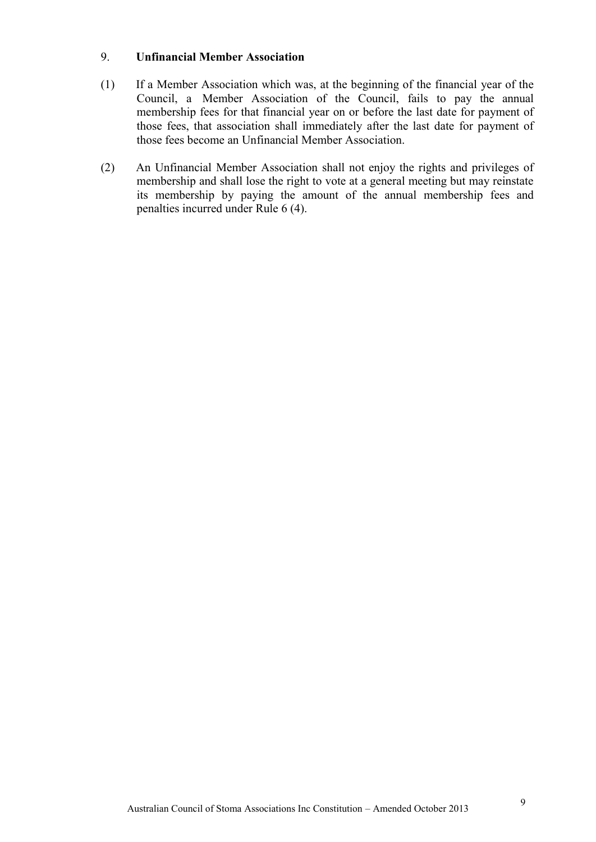#### 9. **Unfinancial Member Association**

- (1) If a Member Association which was, at the beginning of the financial year of the Council, a Member Association of the Council, fails to pay the annual membership fees for that financial year on or before the last date for payment of those fees, that association shall immediately after the last date for payment of those fees become an Unfinancial Member Association.
- (2) An Unfinancial Member Association shall not enjoy the rights and privileges of membership and shall lose the right to vote at a general meeting but may reinstate its membership by paying the amount of the annual membership fees and penalties incurred under Rule 6 (4).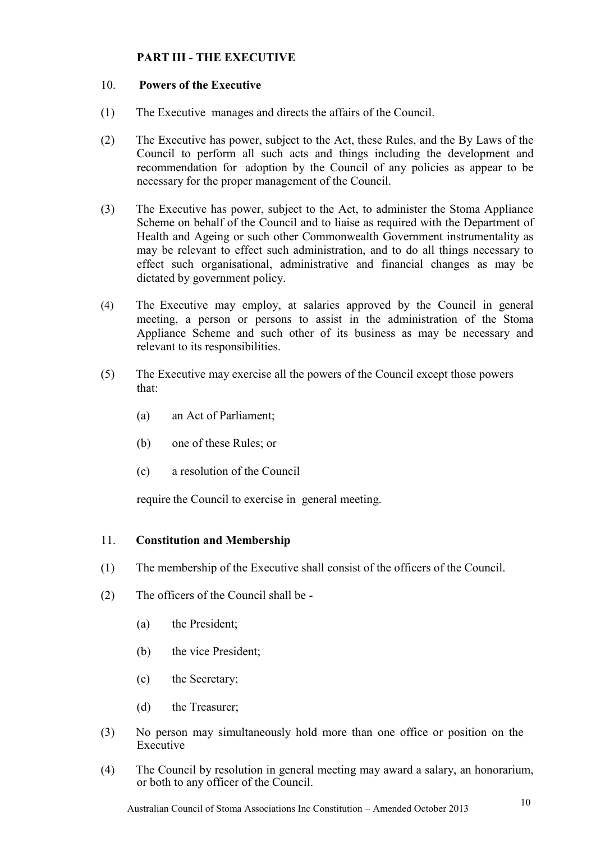## **PART III - THE EXECUTIVE**

#### 10. **Powers of the Executive**

- (1) The Executive manages and directs the affairs of the Council.
- (2) The Executive has power, subject to the Act, these Rules, and the By Laws of the Council to perform all such acts and things including the development and recommendation for adoption by the Council of any policies as appear to be necessary for the proper management of the Council.
- (3) The Executive has power, subject to the Act, to administer the Stoma Appliance Scheme on behalf of the Council and to liaise as required with the Department of Health and Ageing or such other Commonwealth Government instrumentality as may be relevant to effect such administration, and to do all things necessary to effect such organisational, administrative and financial changes as may be dictated by government policy.
- (4) The Executive may employ, at salaries approved by the Council in general meeting, a person or persons to assist in the administration of the Stoma Appliance Scheme and such other of its business as may be necessary and relevant to its responsibilities.
- (5) The Executive may exercise all the powers of the Council except those powers that:
	- (a) an Act of Parliament;
	- (b) one of these Rules; or
	- (c) a resolution of the Council

require the Council to exercise in general meeting.

#### 11. **Constitution and Membership**

- (1) The membership of the Executive shall consist of the officers of the Council.
- (2) The officers of the Council shall be
	- (a) the President;
	- (b) the vice President;
	- (c) the Secretary;
	- (d) the Treasurer;
- (3) No person may simultaneously hold more than one office or position on the Executive
- (4) The Council by resolution in general meeting may award a salary, an honorarium, or both to any officer of the Council.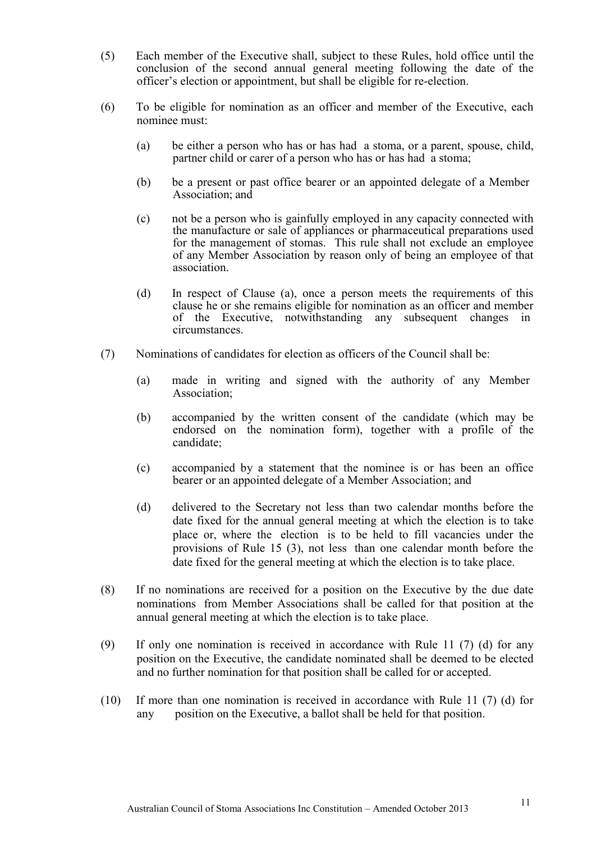- (5) Each member of the Executive shall, subject to these Rules, hold office until the conclusion of the second annual general meeting following the date of the officer's election or appointment, but shall be eligible for re-election.
- (6) To be eligible for nomination as an officer and member of the Executive, each nominee must:
	- (a) be either a person who has or has had a stoma, or a parent, spouse, child, partner child or carer of a person who has or has had a stoma;
	- (b) be a present or past office bearer or an appointed delegate of a Member Association; and
	- (c) not be a person who is gainfully employed in any capacity connected with the manufacture or sale of appliances or pharmaceutical preparations used for the management of stomas. This rule shall not exclude an employee of any Member Association by reason only of being an employee of that association.
	- (d) In respect of Clause (a), once a person meets the requirements of this clause he or she remains eligible for nomination as an officer and member of the Executive, notwithstanding any subsequent changes in circumstances.
- (7) Nominations of candidates for election as officers of the Council shall be:
	- (a) made in writing and signed with the authority of any Member Association;
	- (b) accompanied by the written consent of the candidate (which may be endorsed on the nomination form), together with a profile of the candidate;
	- (c) accompanied by a statement that the nominee is or has been an office bearer or an appointed delegate of a Member Association; and
	- (d) delivered to the Secretary not less than two calendar months before the date fixed for the annual general meeting at which the election is to take place or, where the election is to be held to fill vacancies under the provisions of Rule 15 (3), not less than one calendar month before the date fixed for the general meeting at which the election is to take place.
- (8) If no nominations are received for a position on the Executive by the due date nominations from Member Associations shall be called for that position at the annual general meeting at which the election is to take place.
- (9) If only one nomination is received in accordance with Rule 11 (7) (d) for any position on the Executive, the candidate nominated shall be deemed to be elected and no further nomination for that position shall be called for or accepted.
- (10) If more than one nomination is received in accordance with Rule 11 (7) (d) for any position on the Executive, a ballot shall be held for that position.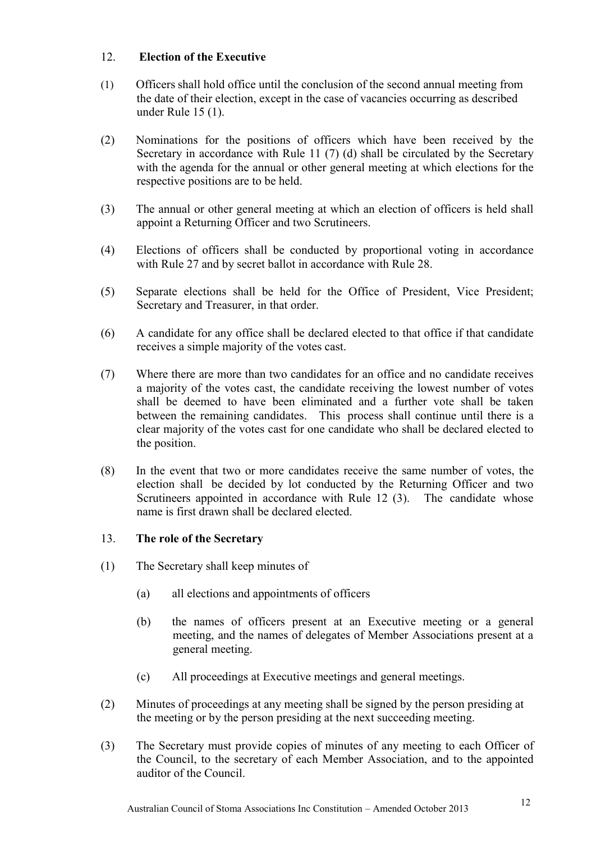## 12. **Election of the Executive**

- (1) Officers shall hold office until the conclusion of the second annual meeting from the date of their election, except in the case of vacancies occurring as described under Rule 15 (1).
- (2) Nominations for the positions of officers which have been received by the Secretary in accordance with Rule 11 (7) (d) shall be circulated by the Secretary with the agenda for the annual or other general meeting at which elections for the respective positions are to be held.
- (3) The annual or other general meeting at which an election of officers is held shall appoint a Returning Officer and two Scrutineers.
- (4) Elections of officers shall be conducted by proportional voting in accordance with Rule 27 and by secret ballot in accordance with Rule 28.
- (5) Separate elections shall be held for the Office of President, Vice President; Secretary and Treasurer, in that order.
- (6) A candidate for any office shall be declared elected to that office if that candidate receives a simple majority of the votes cast.
- (7) Where there are more than two candidates for an office and no candidate receives a majority of the votes cast, the candidate receiving the lowest number of votes shall be deemed to have been eliminated and a further vote shall be taken between the remaining candidates. This process shall continue until there is a clear majority of the votes cast for one candidate who shall be declared elected to the position.
- (8) In the event that two or more candidates receive the same number of votes, the election shall be decided by lot conducted by the Returning Officer and two Scrutineers appointed in accordance with Rule 12 (3). The candidate whose name is first drawn shall be declared elected.

## 13. **The role of the Secretary**

- (1) The Secretary shall keep minutes of
	- (a) all elections and appointments of officers
	- (b) the names of officers present at an Executive meeting or a general meeting, and the names of delegates of Member Associations present at a general meeting.
	- (c) All proceedings at Executive meetings and general meetings.
- (2) Minutes of proceedings at any meeting shall be signed by the person presiding at the meeting or by the person presiding at the next succeeding meeting.
- (3) The Secretary must provide copies of minutes of any meeting to each Officer of the Council, to the secretary of each Member Association, and to the appointed auditor of the Council.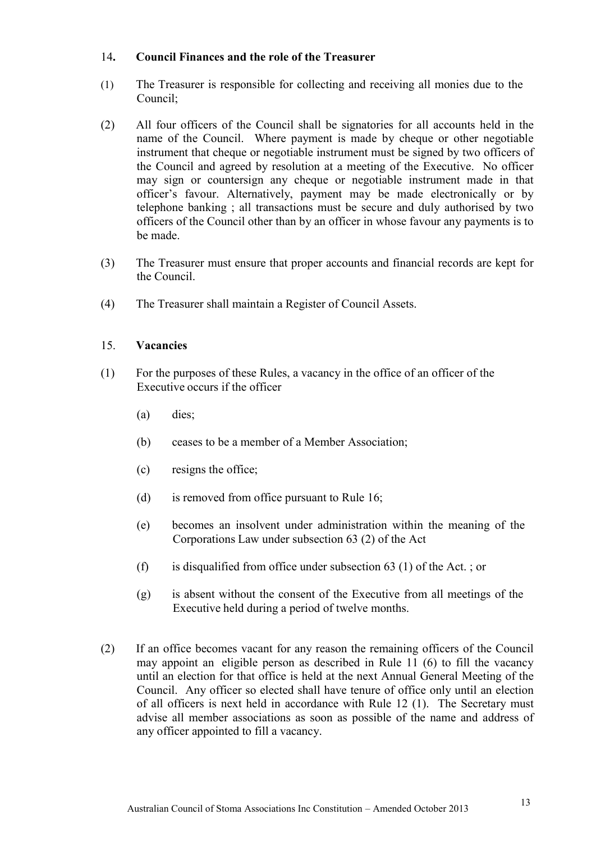#### 14**. Council Finances and the role of the Treasurer**

- (1) The Treasurer is responsible for collecting and receiving all monies due to the Council;
- (2) All four officers of the Council shall be signatories for all accounts held in the name of the Council. Where payment is made by cheque or other negotiable instrument that cheque or negotiable instrument must be signed by two officers of the Council and agreed by resolution at a meeting of the Executive. No officer may sign or countersign any cheque or negotiable instrument made in that officer's favour. Alternatively, payment may be made electronically or by telephone banking ; all transactions must be secure and duly authorised by two officers of the Council other than by an officer in whose favour any payments is to be made.
- (3) The Treasurer must ensure that proper accounts and financial records are kept for the Council.
- (4) The Treasurer shall maintain a Register of Council Assets.

#### 15. **Vacancies**

- (1) For the purposes of these Rules, a vacancy in the office of an officer of the Executive occurs if the officer
	- (a) dies;
	- (b) ceases to be a member of a Member Association;
	- (c) resigns the office;
	- (d) is removed from office pursuant to Rule 16;
	- (e) becomes an insolvent under administration within the meaning of the Corporations Law under subsection 63 (2) of the Act
	- (f) is disqualified from office under subsection 63 (1) of the Act. ; or
	- (g) is absent without the consent of the Executive from all meetings of the Executive held during a period of twelve months.
- (2) If an office becomes vacant for any reason the remaining officers of the Council may appoint an eligible person as described in Rule 11 (6) to fill the vacancy until an election for that office is held at the next Annual General Meeting of the Council. Any officer so elected shall have tenure of office only until an election of all officers is next held in accordance with Rule 12 (1). The Secretary must advise all member associations as soon as possible of the name and address of any officer appointed to fill a vacancy.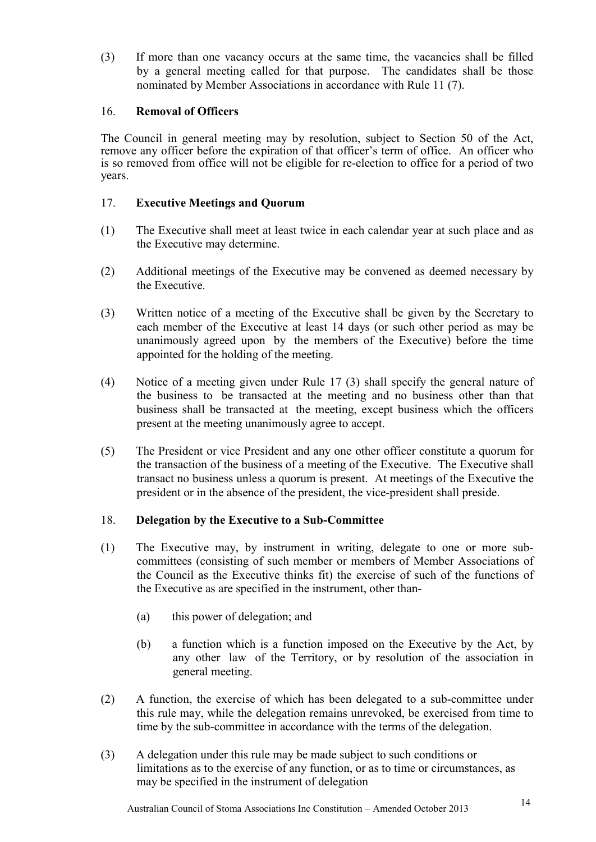(3) If more than one vacancy occurs at the same time, the vacancies shall be filled by a general meeting called for that purpose. The candidates shall be those nominated by Member Associations in accordance with Rule 11 (7).

#### 16. **Removal of Officers**

The Council in general meeting may by resolution, subject to Section 50 of the Act, remove any officer before the expiration of that officer's term of office. An officer who is so removed from office will not be eligible for re-election to office for a period of two years.

#### 17. **Executive Meetings and Quorum**

- (1) The Executive shall meet at least twice in each calendar year at such place and as the Executive may determine.
- (2) Additional meetings of the Executive may be convened as deemed necessary by the Executive.
- (3) Written notice of a meeting of the Executive shall be given by the Secretary to each member of the Executive at least 14 days (or such other period as may be unanimously agreed upon by the members of the Executive) before the time appointed for the holding of the meeting.
- (4) Notice of a meeting given under Rule 17 (3) shall specify the general nature of the business to be transacted at the meeting and no business other than that business shall be transacted at the meeting, except business which the officers present at the meeting unanimously agree to accept.
- (5) The President or vice President and any one other officer constitute a quorum for the transaction of the business of a meeting of the Executive. The Executive shall transact no business unless a quorum is present. At meetings of the Executive the president or in the absence of the president, the vice-president shall preside.

#### 18. **Delegation by the Executive to a Sub-Committee**

- (1) The Executive may, by instrument in writing, delegate to one or more subcommittees (consisting of such member or members of Member Associations of the Council as the Executive thinks fit) the exercise of such of the functions of the Executive as are specified in the instrument, other than-
	- (a) this power of delegation; and
	- (b) a function which is a function imposed on the Executive by the Act, by any other law of the Territory, or by resolution of the association in general meeting.
- (2) A function, the exercise of which has been delegated to a sub-committee under this rule may, while the delegation remains unrevoked, be exercised from time to time by the sub-committee in accordance with the terms of the delegation.
- (3) A delegation under this rule may be made subject to such conditions or limitations as to the exercise of any function, or as to time or circumstances, as may be specified in the instrument of delegation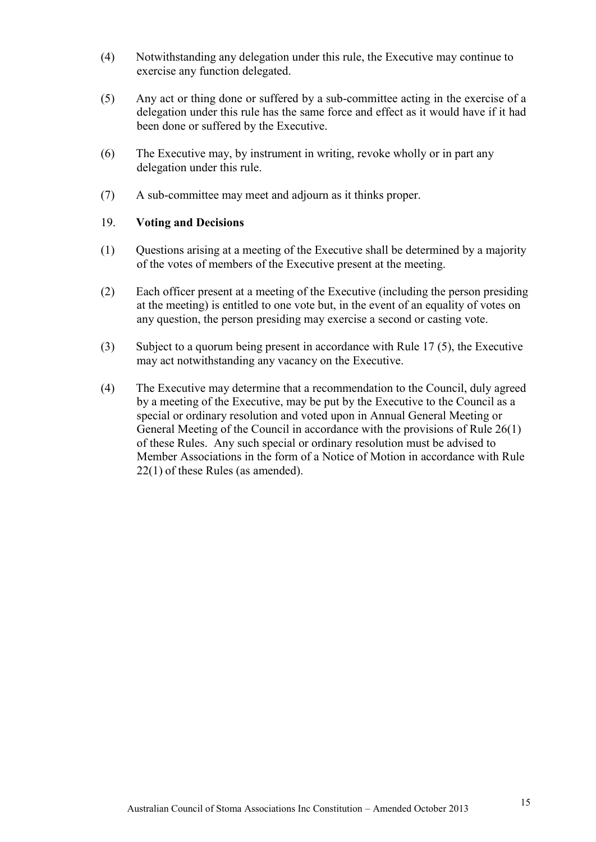- (4) Notwithstanding any delegation under this rule, the Executive may continue to exercise any function delegated.
- (5) Any act or thing done or suffered by a sub-committee acting in the exercise of a delegation under this rule has the same force and effect as it would have if it had been done or suffered by the Executive.
- (6) The Executive may, by instrument in writing, revoke wholly or in part any delegation under this rule.
- (7) A sub-committee may meet and adjourn as it thinks proper.

#### 19. **Voting and Decisions**

- (1) Questions arising at a meeting of the Executive shall be determined by a majority of the votes of members of the Executive present at the meeting.
- (2) Each officer present at a meeting of the Executive (including the person presiding at the meeting) is entitled to one vote but, in the event of an equality of votes on any question, the person presiding may exercise a second or casting vote.
- (3) Subject to a quorum being present in accordance with Rule 17 (5), the Executive may act notwithstanding any vacancy on the Executive.
- (4) The Executive may determine that a recommendation to the Council, duly agreed by a meeting of the Executive, may be put by the Executive to the Council as a special or ordinary resolution and voted upon in Annual General Meeting or General Meeting of the Council in accordance with the provisions of Rule 26(1) of these Rules. Any such special or ordinary resolution must be advised to Member Associations in the form of a Notice of Motion in accordance with Rule 22(1) of these Rules (as amended).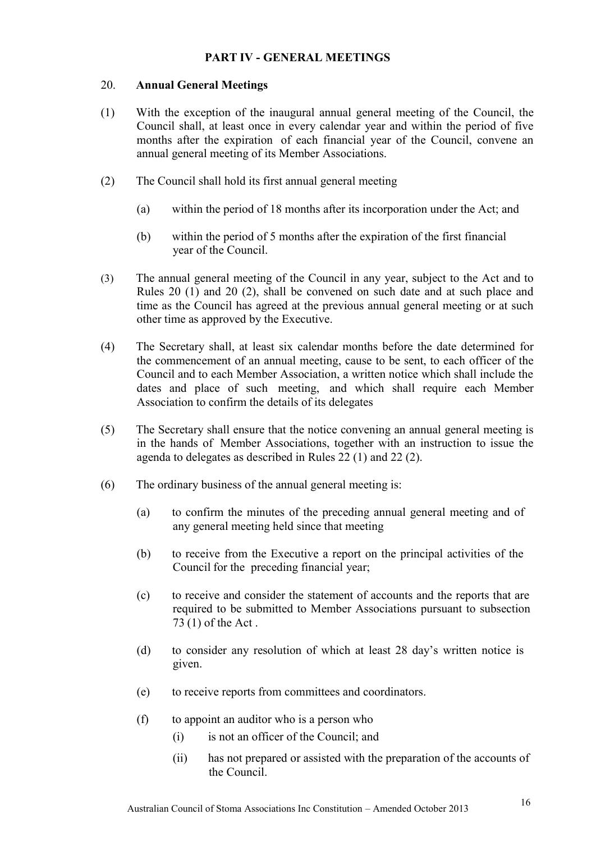## **PART IV - GENERAL MEETINGS**

#### 20. **Annual General Meetings**

- (1) With the exception of the inaugural annual general meeting of the Council, the Council shall, at least once in every calendar year and within the period of five months after the expiration of each financial year of the Council, convene an annual general meeting of its Member Associations.
- (2) The Council shall hold its first annual general meeting
	- (a) within the period of 18 months after its incorporation under the Act; and
	- (b) within the period of 5 months after the expiration of the first financial year of the Council.
- (3) The annual general meeting of the Council in any year, subject to the Act and to Rules 20 (1) and 20 (2), shall be convened on such date and at such place and time as the Council has agreed at the previous annual general meeting or at such other time as approved by the Executive.
- (4) The Secretary shall, at least six calendar months before the date determined for the commencement of an annual meeting, cause to be sent, to each officer of the Council and to each Member Association, a written notice which shall include the dates and place of such meeting, and which shall require each Member Association to confirm the details of its delegates
- (5) The Secretary shall ensure that the notice convening an annual general meeting is in the hands of Member Associations, together with an instruction to issue the agenda to delegates as described in Rules 22 (1) and 22 (2).
- (6) The ordinary business of the annual general meeting is:
	- (a) to confirm the minutes of the preceding annual general meeting and of any general meeting held since that meeting
	- (b) to receive from the Executive a report on the principal activities of the Council for the preceding financial year;
	- (c) to receive and consider the statement of accounts and the reports that are required to be submitted to Member Associations pursuant to subsection 73 (1) of the Act .
	- (d) to consider any resolution of which at least 28 day's written notice is given.
	- (e) to receive reports from committees and coordinators.
	- (f) to appoint an auditor who is a person who
		- (i) is not an officer of the Council; and
		- (ii) has not prepared or assisted with the preparation of the accounts of the Council.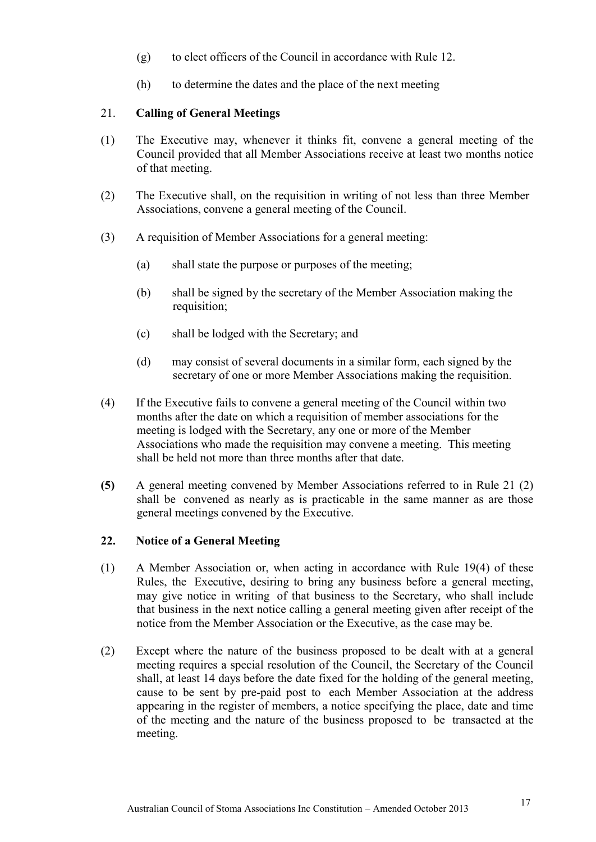- (g) to elect officers of the Council in accordance with Rule 12.
- (h) to determine the dates and the place of the next meeting

## 21. **Calling of General Meetings**

- (1) The Executive may, whenever it thinks fit, convene a general meeting of the Council provided that all Member Associations receive at least two months notice of that meeting.
- (2) The Executive shall, on the requisition in writing of not less than three Member Associations, convene a general meeting of the Council.
- (3) A requisition of Member Associations for a general meeting:
	- (a) shall state the purpose or purposes of the meeting;
	- (b) shall be signed by the secretary of the Member Association making the requisition;
	- (c) shall be lodged with the Secretary; and
	- (d) may consist of several documents in a similar form, each signed by the secretary of one or more Member Associations making the requisition.
- (4) If the Executive fails to convene a general meeting of the Council within two months after the date on which a requisition of member associations for the meeting is lodged with the Secretary, any one or more of the Member Associations who made the requisition may convene a meeting. This meeting shall be held not more than three months after that date.
- **(5)** A general meeting convened by Member Associations referred to in Rule 21 (2) shall be convened as nearly as is practicable in the same manner as are those general meetings convened by the Executive.

## **22. Notice of a General Meeting**

- (1) A Member Association or, when acting in accordance with Rule 19(4) of these Rules, the Executive, desiring to bring any business before a general meeting, may give notice in writing of that business to the Secretary, who shall include that business in the next notice calling a general meeting given after receipt of the notice from the Member Association or the Executive, as the case may be.
- (2) Except where the nature of the business proposed to be dealt with at a general meeting requires a special resolution of the Council, the Secretary of the Council shall, at least 14 days before the date fixed for the holding of the general meeting, cause to be sent by pre-paid post to each Member Association at the address appearing in the register of members, a notice specifying the place, date and time of the meeting and the nature of the business proposed to be transacted at the meeting.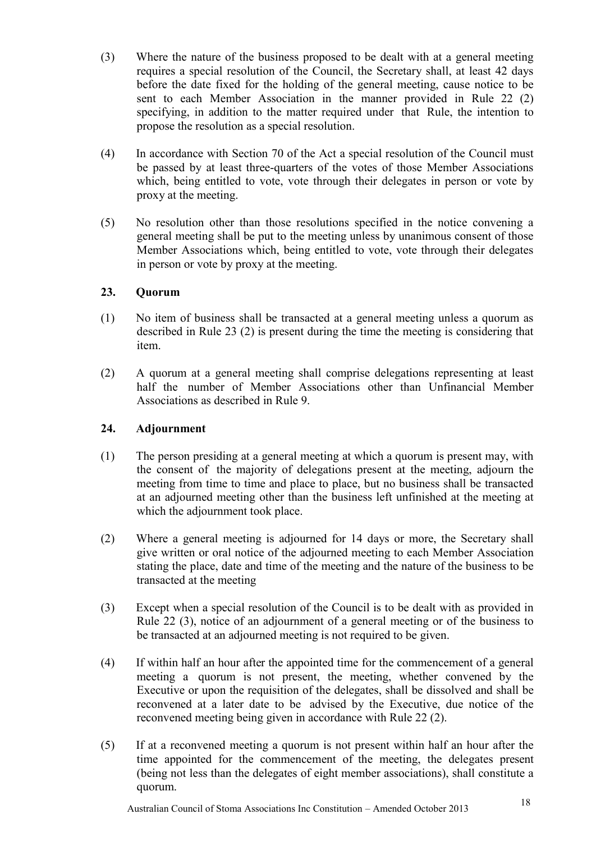- (3) Where the nature of the business proposed to be dealt with at a general meeting requires a special resolution of the Council, the Secretary shall, at least 42 days before the date fixed for the holding of the general meeting, cause notice to be sent to each Member Association in the manner provided in Rule 22 (2) specifying, in addition to the matter required under that Rule, the intention to propose the resolution as a special resolution.
- (4) In accordance with Section 70 of the Act a special resolution of the Council must be passed by at least three-quarters of the votes of those Member Associations which, being entitled to vote, vote through their delegates in person or vote by proxy at the meeting.
- (5) No resolution other than those resolutions specified in the notice convening a general meeting shall be put to the meeting unless by unanimous consent of those Member Associations which, being entitled to vote, vote through their delegates in person or vote by proxy at the meeting.

## **23. Quorum**

- (1) No item of business shall be transacted at a general meeting unless a quorum as described in Rule 23 (2) is present during the time the meeting is considering that item.
- (2) A quorum at a general meeting shall comprise delegations representing at least half the number of Member Associations other than Unfinancial Member Associations as described in Rule 9.

## **24. Adjournment**

- (1) The person presiding at a general meeting at which a quorum is present may, with the consent of the majority of delegations present at the meeting, adjourn the meeting from time to time and place to place, but no business shall be transacted at an adjourned meeting other than the business left unfinished at the meeting at which the adjournment took place.
- (2) Where a general meeting is adjourned for 14 days or more, the Secretary shall give written or oral notice of the adjourned meeting to each Member Association stating the place, date and time of the meeting and the nature of the business to be transacted at the meeting
- (3) Except when a special resolution of the Council is to be dealt with as provided in Rule 22 (3), notice of an adjournment of a general meeting or of the business to be transacted at an adjourned meeting is not required to be given.
- (4) If within half an hour after the appointed time for the commencement of a general meeting a quorum is not present, the meeting, whether convened by the Executive or upon the requisition of the delegates, shall be dissolved and shall be reconvened at a later date to be advised by the Executive, due notice of the reconvened meeting being given in accordance with Rule 22 (2).
- (5) If at a reconvened meeting a quorum is not present within half an hour after the time appointed for the commencement of the meeting, the delegates present (being not less than the delegates of eight member associations), shall constitute a quorum.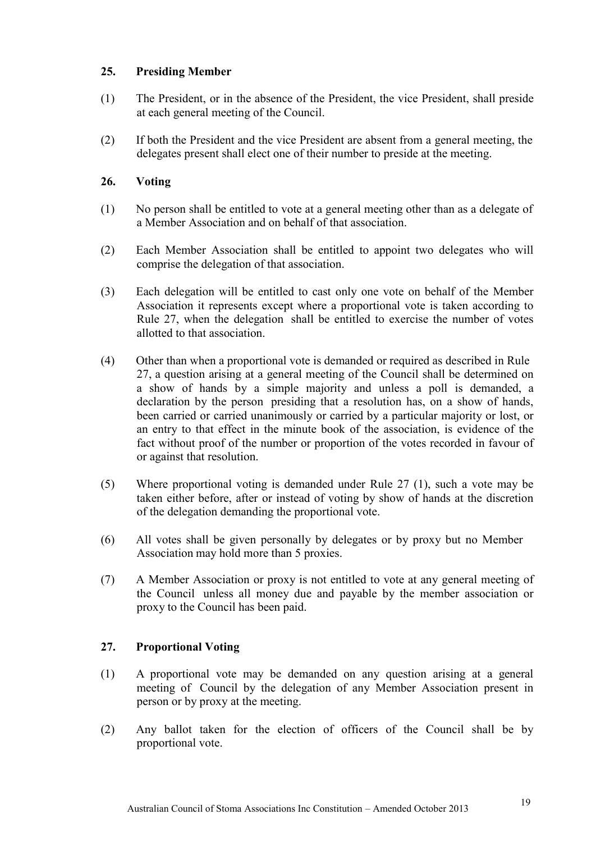## **25. Presiding Member**

- (1) The President, or in the absence of the President, the vice President, shall preside at each general meeting of the Council.
- (2) If both the President and the vice President are absent from a general meeting, the delegates present shall elect one of their number to preside at the meeting.

## **26. Voting**

- (1) No person shall be entitled to vote at a general meeting other than as a delegate of a Member Association and on behalf of that association.
- (2) Each Member Association shall be entitled to appoint two delegates who will comprise the delegation of that association.
- (3) Each delegation will be entitled to cast only one vote on behalf of the Member Association it represents except where a proportional vote is taken according to Rule 27, when the delegation shall be entitled to exercise the number of votes allotted to that association.
- (4) Other than when a proportional vote is demanded or required as described in Rule 27, a question arising at a general meeting of the Council shall be determined on a show of hands by a simple majority and unless a poll is demanded, a declaration by the person presiding that a resolution has, on a show of hands, been carried or carried unanimously or carried by a particular majority or lost, or an entry to that effect in the minute book of the association, is evidence of the fact without proof of the number or proportion of the votes recorded in favour of or against that resolution.
- (5) Where proportional voting is demanded under Rule 27 (1), such a vote may be taken either before, after or instead of voting by show of hands at the discretion of the delegation demanding the proportional vote.
- (6) All votes shall be given personally by delegates or by proxy but no Member Association may hold more than 5 proxies.
- (7) A Member Association or proxy is not entitled to vote at any general meeting of the Council unless all money due and payable by the member association or proxy to the Council has been paid.

## **27. Proportional Voting**

- (1) A proportional vote may be demanded on any question arising at a general meeting of Council by the delegation of any Member Association present in person or by proxy at the meeting.
- (2) Any ballot taken for the election of officers of the Council shall be by proportional vote.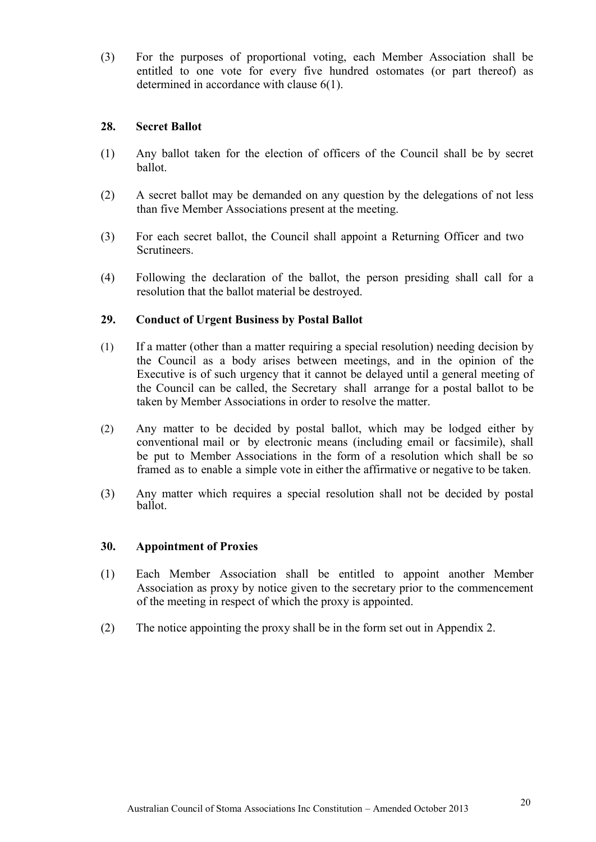(3) For the purposes of proportional voting, each Member Association shall be entitled to one vote for every five hundred ostomates (or part thereof) as determined in accordance with clause 6(1).

#### **28. Secret Ballot**

- (1) Any ballot taken for the election of officers of the Council shall be by secret ballot.
- (2) A secret ballot may be demanded on any question by the delegations of not less than five Member Associations present at the meeting.
- (3) For each secret ballot, the Council shall appoint a Returning Officer and two Scrutineers.
- (4) Following the declaration of the ballot, the person presiding shall call for a resolution that the ballot material be destroyed.

## **29. Conduct of Urgent Business by Postal Ballot**

- (1) If a matter (other than a matter requiring a special resolution) needing decision by the Council as a body arises between meetings, and in the opinion of the Executive is of such urgency that it cannot be delayed until a general meeting of the Council can be called, the Secretary shall arrange for a postal ballot to be taken by Member Associations in order to resolve the matter.
- (2) Any matter to be decided by postal ballot, which may be lodged either by conventional mail or by electronic means (including email or facsimile), shall be put to Member Associations in the form of a resolution which shall be so framed as to enable a simple vote in either the affirmative or negative to be taken.
- (3) Any matter which requires a special resolution shall not be decided by postal ballot.

#### **30. Appointment of Proxies**

- (1) Each Member Association shall be entitled to appoint another Member Association as proxy by notice given to the secretary prior to the commencement of the meeting in respect of which the proxy is appointed.
- (2) The notice appointing the proxy shall be in the form set out in Appendix 2.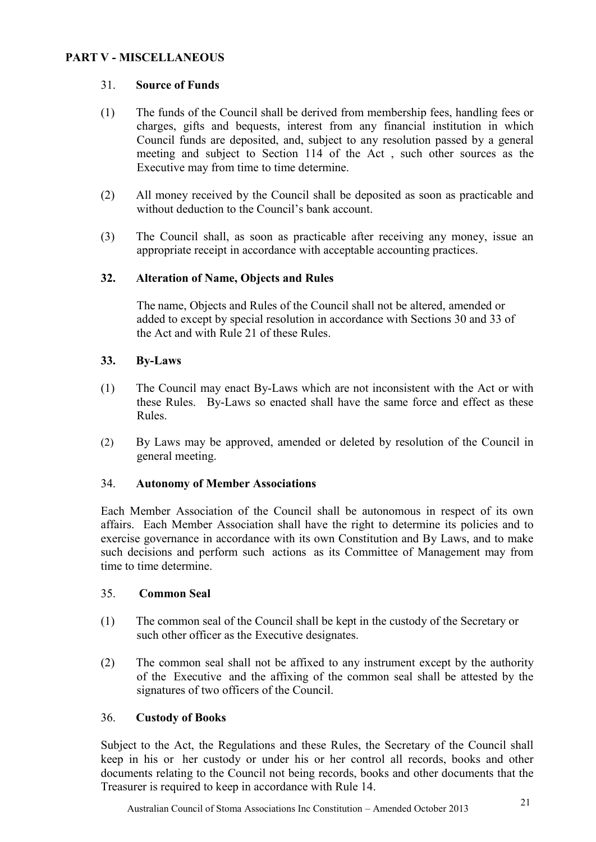## **PART V - MISCELLANEOUS**

#### 31. **Source of Funds**

- (1) The funds of the Council shall be derived from membership fees, handling fees or charges, gifts and bequests, interest from any financial institution in which Council funds are deposited, and, subject to any resolution passed by a general meeting and subject to Section 114 of the Act , such other sources as the Executive may from time to time determine.
- (2) All money received by the Council shall be deposited as soon as practicable and without deduction to the Council's bank account.
- (3) The Council shall, as soon as practicable after receiving any money, issue an appropriate receipt in accordance with acceptable accounting practices.

#### **32. Alteration of Name, Objects and Rules**

The name, Objects and Rules of the Council shall not be altered, amended or added to except by special resolution in accordance with Sections 30 and 33 of the Act and with Rule 21 of these Rules.

#### **33. By-Laws**

- (1) The Council may enact By-Laws which are not inconsistent with the Act or with these Rules. By-Laws so enacted shall have the same force and effect as these Rules.
- (2) By Laws may be approved, amended or deleted by resolution of the Council in general meeting.

#### 34. **Autonomy of Member Associations**

Each Member Association of the Council shall be autonomous in respect of its own affairs. Each Member Association shall have the right to determine its policies and to exercise governance in accordance with its own Constitution and By Laws, and to make such decisions and perform such actions as its Committee of Management may from time to time determine.

#### 35. **Common Seal**

- (1) The common seal of the Council shall be kept in the custody of the Secretary or such other officer as the Executive designates.
- (2) The common seal shall not be affixed to any instrument except by the authority of the Executive and the affixing of the common seal shall be attested by the signatures of two officers of the Council.

#### 36. **Custody of Books**

Subject to the Act, the Regulations and these Rules, the Secretary of the Council shall keep in his or her custody or under his or her control all records, books and other documents relating to the Council not being records, books and other documents that the Treasurer is required to keep in accordance with Rule 14.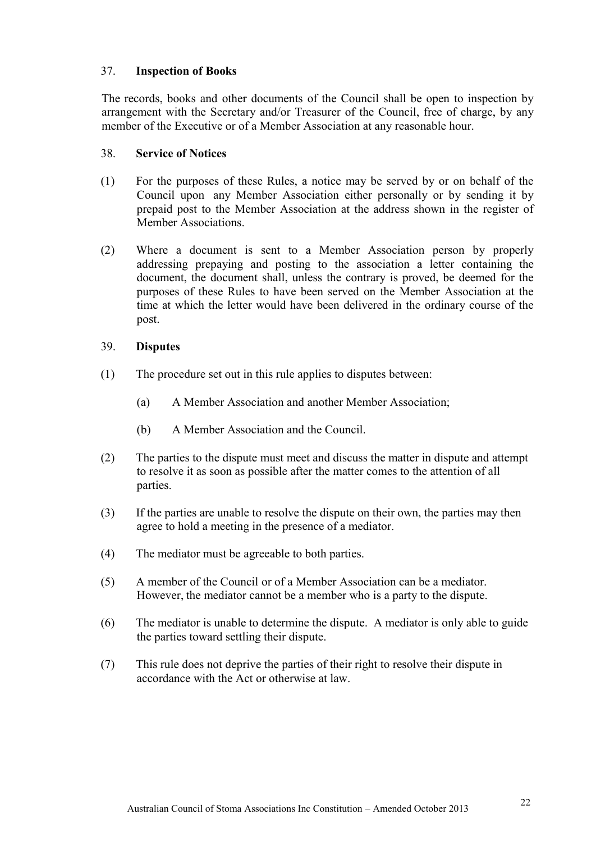## 37. **Inspection of Books**

The records, books and other documents of the Council shall be open to inspection by arrangement with the Secretary and/or Treasurer of the Council, free of charge, by any member of the Executive or of a Member Association at any reasonable hour.

#### 38. **Service of Notices**

- (1) For the purposes of these Rules, a notice may be served by or on behalf of the Council upon any Member Association either personally or by sending it by prepaid post to the Member Association at the address shown in the register of Member Associations.
- (2) Where a document is sent to a Member Association person by properly addressing prepaying and posting to the association a letter containing the document, the document shall, unless the contrary is proved, be deemed for the purposes of these Rules to have been served on the Member Association at the time at which the letter would have been delivered in the ordinary course of the post.

#### 39. **Disputes**

- (1) The procedure set out in this rule applies to disputes between:
	- (a) A Member Association and another Member Association;
	- (b) A Member Association and the Council.
- (2) The parties to the dispute must meet and discuss the matter in dispute and attempt to resolve it as soon as possible after the matter comes to the attention of all parties.
- (3) If the parties are unable to resolve the dispute on their own, the parties may then agree to hold a meeting in the presence of a mediator.
- (4) The mediator must be agreeable to both parties.
- (5) A member of the Council or of a Member Association can be a mediator. However, the mediator cannot be a member who is a party to the dispute.
- (6) The mediator is unable to determine the dispute. A mediator is only able to guide the parties toward settling their dispute.
- (7) This rule does not deprive the parties of their right to resolve their dispute in accordance with the Act or otherwise at law.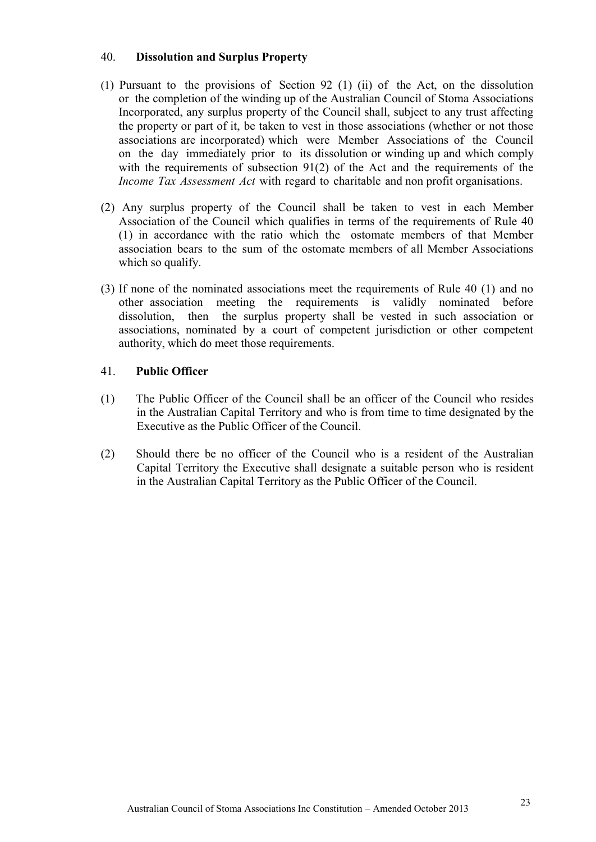#### 40. **Dissolution and Surplus Property**

- (1) Pursuant to the provisions of Section 92 (1) (ii) of the Act, on the dissolution or the completion of the winding up of the Australian Council of Stoma Associations Incorporated, any surplus property of the Council shall, subject to any trust affecting the property or part of it, be taken to vest in those associations (whether or not those associations are incorporated) which were Member Associations of the Council on the day immediately prior to its dissolution or winding up and which comply with the requirements of subsection 91(2) of the Act and the requirements of the *Income Tax Assessment Act* with regard to charitable and non profit organisations.
- (2) Any surplus property of the Council shall be taken to vest in each Member Association of the Council which qualifies in terms of the requirements of Rule 40 (1) in accordance with the ratio which the ostomate members of that Member association bears to the sum of the ostomate members of all Member Associations which so qualify.
- (3) If none of the nominated associations meet the requirements of Rule 40 (1) and no other association meeting the requirements is validly nominated before dissolution, then the surplus property shall be vested in such association or associations, nominated by a court of competent jurisdiction or other competent authority, which do meet those requirements.

#### 41. **Public Officer**

- (1) The Public Officer of the Council shall be an officer of the Council who resides in the Australian Capital Territory and who is from time to time designated by the Executive as the Public Officer of the Council.
- (2) Should there be no officer of the Council who is a resident of the Australian Capital Territory the Executive shall designate a suitable person who is resident in the Australian Capital Territory as the Public Officer of the Council.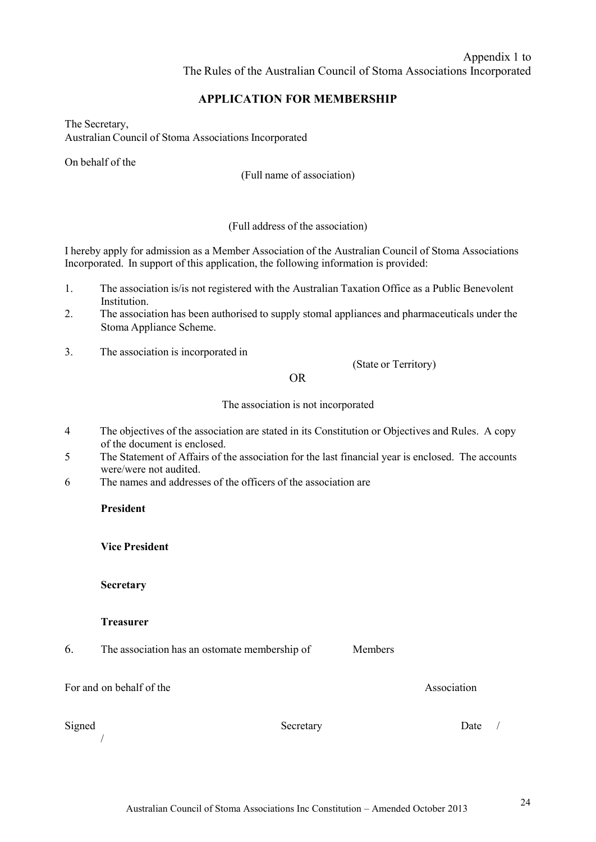## **APPLICATION FOR MEMBERSHIP**

The Secretary, Australian Council of Stoma Associations Incorporated

On behalf of the

(Full name of association)

#### (Full address of the association)

I hereby apply for admission as a Member Association of the Australian Council of Stoma Associations Incorporated. In support of this application, the following information is provided:

- 1. The association is/is not registered with the Australian Taxation Office as a Public Benevolent Institution.
- 2. The association has been authorised to supply stomal appliances and pharmaceuticals under the Stoma Appliance Scheme.
- 3. The association is incorporated in

(State or Territory)

Members

#### OR

The association is not incorporated

- 4 The objectives of the association are stated in its Constitution or Objectives and Rules. A copy of the document is enclosed.
- 5 The Statement of Affairs of the association for the last financial year is enclosed. The accounts were/were not audited.
- 6 The names and addresses of the officers of the association are

#### **President**

**Vice President**

**Secretary**

#### **Treasurer**

6. The association has an ostomate membership of

For and on behalf of the

/

Signed Secretary Secretary Date /

Association